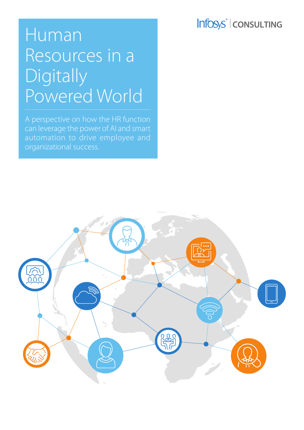## Infosys<sup>®</sup> | CONSULTING

# Human Resources in a Digitally Powered World

A perspective on how the HR function can leverage the power of AI and smart automation to drive employee and organizational success.

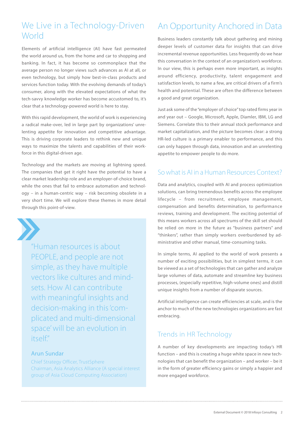### We Live in a Technology-Driven **World**

Elements of artificial intelligence (AI) have fast permeated the world around us, from the home and car to shopping and banking. In fact, it has become so commonplace that the average person no longer views such advances as AI at all, or even technology, but simply how best-in-class products and services function today. With the evolving demands of today's consumer, along with the elevated expectations of what the tech-savvy knowledge worker has become accustomed to, it's clear that a technology-powered world is here to stay.

With this rapid development, the world of work is experiencing a radical make-over, led in large part by organizations' unrelenting appetite for innovation and competitive advantage. This is driving corporate leaders to rethink new and unique ways to maximize the talents and capabilities of their workforce in this digital-driven age.

Technology and the markets are moving at lightning speed. The companies that get it right have the potential to have a clear market leadership role and an employer-of-choice brand, while the ones that fail to embrace automation and technology – in a human-centric way – risk becoming obsolete in a very short time. We will explore these themes in more detail through this point-of-view.



"Human resources is about PEOPLE, and people are not simple, as they have multiple vectors like cultures and mindsets. How AI can contribute with meaningful insights and decision-making in this 'complicated and multi-dimensional space' will be an evolution in  $itself"$ 

#### Arun Sundar

Chief Strategy Officer, TrustSphere Chairman, Asia Analytics Alliance (A special interest group of Asia Cloud Computing Association)

### An Opportunity Anchored in Data

Business leaders constantly talk about gathering and mining deeper levels of customer data for insights that can drive incremental revenue opportunities. Less frequently do we hear this conversation in the context of an organization's workforce. In our view, this is perhaps even more important, as insights around efficiency, productivity, talent engagement and satisfaction levels, to name a few, are critical drivers of a firm's health and potential. These are often the difference between a good and great organization.

Just ask some of the "employer of choice" top rated firms year in and year out – Google, Microsoft, Apple, Diamler, IBM, LG and Siemens. Correlate this to their annual stock performance and market capitalization, and the picture becomes clear: a strong HR-led culture is a primary enabler to performance, and this can only happen through data, innovation and an unrelenting appetite to empower people to do more.

#### So what is AI in a Human Resources Context?

Data and analytics, coupled with AI and process optimization solutions, can bring tremendous benefits across the employee lifecycle – from recruitment, employee management, compensation and benefits determination, to performance reviews, training and development. The exciting potential of this means workers across all spectrums of the skill set should be relied on more in the future as "business partners" and "thinkers", rather than simply workers overburdened by administrative and other manual, time-consuming tasks.

In simple terms, AI applied to the world of work presents a number of exciting possibilities, but in simplest terms, it can be viewed as a set of technologies that can gather and analyze large volumes of data, automate and streamline key business processes, (especially repetitive, high-volume ones) and distill unique insights from a number of disparate sources.

Artificial intelligence can create efficiencies at scale, and is the anchor to much of the new technologies organizations are fast embracing.

### Trends in HR Technology

A number of key developments are impacting today's HR function – and this is creating a huge white space in new technologies that can benefit the organization – and worker – be it in the form of greater efficiency gains or simply a happier and more engaged workforce.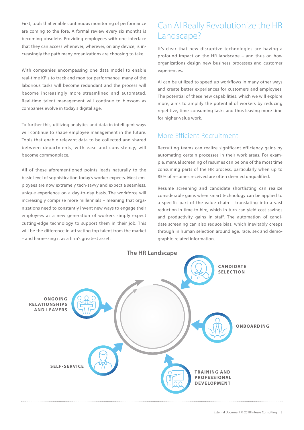First, tools that enable continuous monitoring of performance are coming to the fore. A formal review every six months is becoming obsolete. Providing employees with one interface that they can access whenever, wherever, on any device, is increasingly the path many organizations are choosing to take.

With companies encompassing one data model to enable real-time KPIs to track and monitor performance, many of the laborious tasks will become redundant and the process will become increasingly more streamlined and automated. Real-time talent management will continue to blossom as companies evolve in today's digital age.

To further this, utilizing analytics and data in intelligent ways will continue to shape employee management in the future. Tools that enable relevant data to be collected and shared between departments, with ease and consistency, will become commonplace.

All of these aforementioned points leads naturally to the basic level of sophistication today's worker expects. Most employees are now extremely tech-savvy and expect a seamless, unique experience on a day-to-day basis. The workforce will increasingly comprise more millennials – meaning that organizations need to constantly invent new ways to engage their employees as a new generation of workers simply expect cutting-edge technology to support them in their job. This will be the difference in attracting top talent from the market – and harnessing it as a firm's greatest asset.

### Can AI Really Revolutionize the HR Landscape?

It's clear that new disruptive technologies are having a profound impact on the HR landscape – and thus on how organizations design new business processes and customer experiences.

AI can be utilized to speed up workflows in many other ways and create better experiences for customers and employees. The potential of these new capabilities, which we will explore more, aims to amplify the potential of workers by reducing repetitive, time-consuming tasks and thus leaving more time for higher-value work.

#### More Efficient Recruitment

Recruiting teams can realize significant efficiency gains by automating certain processes in their work areas. For example, manual screening of resumes can be one of the most time consuming parts of the HR process, particularly when up to 85% of resumes received are often deemed unqualified.

Resume screening and candidate shortlisting can realize considerable gains when smart technology can be applied to a specific part of the value chain – translating into a vast reduction in time-to-hire, which in turn can yield cost savings and productivity gains in staff. The automation of candidate screening can also reduce bias, which inevitably creeps through in human selection around age, race, sex and demographic-related information.

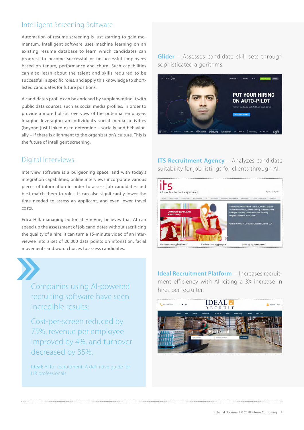### Intelligent Screening Software

Automation of resume screening is just starting to gain momentum. Intelligent software uses machine learning on an existing resume database to learn which candidates can progress to become successful or unsuccessful employees based on tenure, performance and churn. Such capabilities can also learn about the talent and skills required to be successful in specific roles, and apply this knowledge to shortlisted candidates for future positions.

A candidate's profile can be enriched by supplementing it with public data sources, such as social media profiles, in order to provide a more holistic overview of the potential employee. Imagine leveraging an individual's social media activities (beyond just LinkedIn) to determine – socially and behaviorally – if there is alignment to the organization's culture. This is the future of intelligent screening.

#### Digital Interviews

Interview software is a burgeoning space, and with today's integration capabilities, online interviews incorporate various pieces of information in order to assess job candidates and best match them to roles. It can also significantly lower the time needed to assess an applicant, and even lower travel costs.

Erica Hill, managing editor at HireVue, believes that AI can speed up the assessment of job candidates without sacrificing the quality of a hire. It can turn a 15-minute video of an interviewee into a set of 20,000 data points on intonation, facial movements and word choices to assess candidates.



Cost-per-screen reduced by 75%, revenue per employee improved by 4%, and turnover decreased by 35%.

Ideal: AI for recruitment: A definitive guide for HR professionals

**Glider** – Assesses candidate skill sets through sophisticated algorithms.



**ITS Recruitment Agency - Analyzes candidate** suitability for job listings for clients through AI.



**Ideal Recruitment Platform** – Increases recruitment efficiency with AI, citing a 3X increase in hires per recruiter.

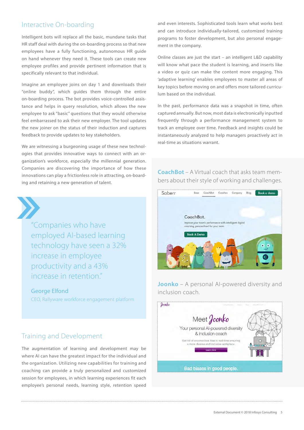#### Interactive On-boarding

Intelligent bots will replace all the basic, mundane tasks that HR staff deal with during the on-boarding process so that new employees have a fully functioning, autonomous HR guide on hand whenever they need it. These tools can create new employee profiles and provide pertinent information that is specifically relevant to that individual.

Imagine an employee joins on day 1 and downloads their "online buddy", which guides them through the entire on-boarding process. The bot provides voice-controlled assistance and helps in query resolution, which allows the new employee to ask "basic" questions that they would otherwise feel embarrassed to ask their new employer. The tool updates the new joiner on the status of their induction and captures feedback to provide updates to key stakeholders.

We are witnessing a burgeoning usage of these new technologies that provides innovative ways to connect with an organization's workforce, especially the millennial generation. Companies are discovering the importance of how these innovations can play a frictionless role in attracting, on-boarding and retaining a new generation of talent.



"Companies who have employed AI-based learning technology have seen a 32% increase in employee productivity and a 43% increase in retention."

George Elfond

CEO, Rallyware workforce engagement platform

#### Training and Development

The augmentation of learning and development may be where AI can have the greatest impact for the individual and the organization. Utilizing new capabilities for training and coaching can provide a truly personalized and customized session for employees, in which learning experiences fit each employee's personal needs, learning style, retention speed and even interests. Sophisticated tools learn what works best and can introduce individually-tailored, customized training programs to foster development, but also personal engagement in the company.

Online classes are just the start – an intelligent L&D capability will know what pace the student is learning, and inserts like a video or quiz can make the content more engaging. This 'adaptive learning' enables employees to master all areas of key topics before moving on and offers more tailored curriculum based on the individual.

In the past, performance data was a snapshot in time, often captured annually. But now, most data is electronically inputted frequently through a performance management system to track an employee over time. Feedback and insights could be instantaneously analyzed to help managers proactively act in real-time as situations warrant.

**CoachBot** – A Virtual coach that asks team members about their style of working and challenges.



**Joonko** – A personal AI-powered diversity and inclusion coach.

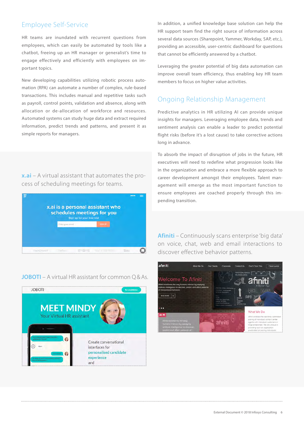### Employee Self-Service

HR teams are inundated with recurrent questions from employees, which can easily be automated by tools like a chatbot, freeing up an HR manager or generalist's time to engage effectively and efficiently with employees on important topics.

New developing capabilities utilizing robotic process automation (RPA) can automate a number of complex, rule-based transactions. This includes manual and repetitive tasks such as payroll, control points, validation and absence, along with allocation or de-allocation of workforce and resources. Automated systems can study huge data and extract required information, predict trends and patterns, and present it as simple reports for managers.

**x.ai** – A virtual assistant that automates the process of scheduling meetings for teams.



**JOBOTI** – A virtual HR assistant for common Q&As.



In addition, a unified knowledge base solution can help the HR support team find the right source of information across several data sources (Sharepoint, Yammer, Workday, SAP, etc.), providing an accessible, user-centric dashboard for questions that cannot be efficiently answered by a chatbot.

Leveraging the greater potential of big data automation can improve overall team efficiency, thus enabling key HR team members to focus on higher value activities.

#### Ongoing Relationship Management

Predictive analytics in HR utilizing AI can provide unique insights for managers. Leveraging employee data, trends and sentiment analysis can enable a leader to predict potential flight risks (before it's a lost cause) to take corrective actions long in advance.

To absorb the impact of disruption of jobs in the future, HR executives will need to redefine what progression looks like in the organization and embrace a more flexible approach to career development amongst their employees. Talent management will emerge as the most important function to ensure employees are coached properly through this impending transition.

**Afiniti** – Continuously scans enterprise 'big data' on voice, chat, web and email interactions to discover effective behavior patterns.

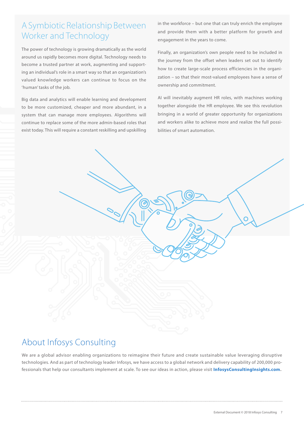### A Symbiotic Relationship Between Worker and Technology

The power of technology is growing dramatically as the world around us rapidly becomes more digital. Technology needs to become a trusted partner at work, augmenting and supporting an individual's role in a smart way so that an organization's valued knowledge workers can continue to focus on the 'human' tasks of the job.

Big data and analytics will enable learning and development to be more customized, cheaper and more abundant, in a system that can manage more employees. Algorithms will continue to replace some of the more admin-based roles that exist today. This will require a constant reskilling and upskilling in the workforce – but one that can truly enrich the employee and provide them with a better platform for growth and engagement in the years to come.

Finally, an organization's own people need to be included in the journey from the offset when leaders set out to identify how to create large-scale process efficiencies in the organization – so that their most-valued employees have a sense of ownership and commitment.

AI will inevitably augment HR roles, with machines working together alongside the HR employee. We see this revolution bringing in a world of greater opportunity for organizations and workers alike to achieve more and realize the full possibilities of smart automation.

### About Infosys Consulting

We are a global advisor enabling organizations to reimagine their future and create sustainable value leveraging disruptive technologies. And as part of technology leader Infosys, we have access to a global network and delivery capability of 200,000 professionals that help our consultants implement at scale. To see our ideas in action, please visit **[InfosysConsultingInsights.com.](http://www.InfosysConsultingInsights.com)**